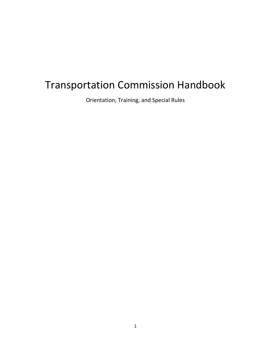# Transportation Commission Handbook

Orientation, Training, and Special Rules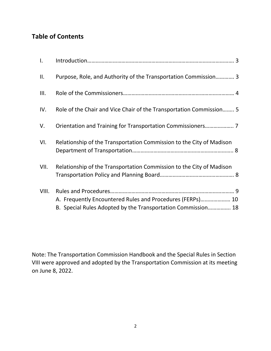## **Table of Contents**

| $\mathbf{I}$ . |                                                                                                                           |
|----------------|---------------------------------------------------------------------------------------------------------------------------|
| ΙΙ.            | Purpose, Role, and Authority of the Transportation Commission 3                                                           |
| III.           |                                                                                                                           |
| IV.            | Role of the Chair and Vice Chair of the Transportation Commission 5                                                       |
| V.             |                                                                                                                           |
| VI.            | Relationship of the Transportation Commission to the City of Madison                                                      |
| VII.           | Relationship of the Transportation Commission to the City of Madison                                                      |
| VIII.          | A. Frequently Encountered Rules and Procedures (FERPs) 10<br>B. Special Rules Adopted by the Transportation Commission 18 |

Note: The Transportation Commission Handbook and the Special Rules in Section VIII were approved and adopted by the Transportation Commission at its meeting on June 8, 2022.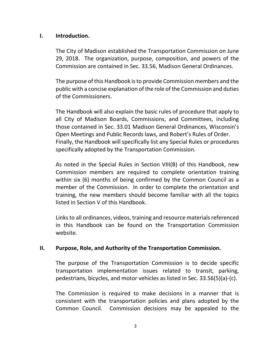#### **I. Introduction.**

The City of Madison established the Transportation Commission on June 29, 2018. The organization, purpose, composition, and powers of the Commission are contained in Sec. 33.56, Madison General Ordinances.

The purpose of this Handbook is to provide Commission members and the public with a concise explanation of the role of the Commission and duties of the Commissioners.

The Handbook will also explain the basic rules of procedure that apply to all City of Madison Boards, Commissions, and Committees, including those contained in Sec. 33.01 Madison General Ordinances, Wisconsin's Open Meetings and Public Records laws, and Robert's Rules of Order. Finally, the Handbook will specifically list any Special Rules or procedures specifically adopted by the Transportation Commission.

As noted in the Special Rules in Section VIII(B) of this Handbook, new Commission members are required to complete orientation training within six (6) months of being confirmed by the Common Council as a member of the Commission. In order to complete the orientation and training, the new members should become familiar with all the topics listed in Section V of this Handbook.

Links to all ordinances, videos, training and resource materials referenced in this Handbook can be found on the Transportation Commission website.

#### **II. Purpose, Role, and Authority of the Transportation Commission.**

The purpose of the Transportation Commission is to decide specific transportation implementation issues related to transit, parking, pedestrians, bicycles, and motor vehicles as listed in Sec. 33.56(5)(a)-(c).

The Commission is required to make decisions in a manner that is consistent with the transportation policies and plans adopted by the Common Council. Commission decisions may be appealed to the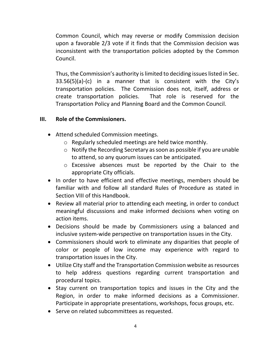Common Council, which may reverse or modify Commission decision upon a favorable 2/3 vote if it finds that the Commission decision was inconsistent with the transportation policies adopted by the Common Council.

Thus, the Commission's authority is limited to deciding issues listed in Sec. 33.56(5)(a)-(c) in a manner that is consistent with the City's transportation policies. The Commission does not, itself, address or create transportation policies. That role is reserved for the Transportation Policy and Planning Board and the Common Council.

## **III. Role of the Commissioners.**

- Attend scheduled Commission meetings.
	- o Regularly scheduled meetings are held twice monthly.
	- o Notify the Recording Secretary as soon as possible if you are unable to attend, so any quorum issues can be anticipated.
	- o Excessive absences must be reported by the Chair to the appropriate City officials.
- In order to have efficient and effective meetings, members should be familiar with and follow all standard Rules of Procedure as stated in Section VIII of this Handbook.
- Review all material prior to attending each meeting, in order to conduct meaningful discussions and make informed decisions when voting on action items.
- Decisions should be made by Commissioners using a balanced and inclusive system-wide perspective on transportation issues in the City.
- Commissioners should work to eliminate any disparities that people of color or people of low income may experience with regard to transportation issues in the City.
- Utilize City staff and the Transportation Commission website as resources to help address questions regarding current transportation and procedural topics.
- Stay current on transportation topics and issues in the City and the Region, in order to make informed decisions as a Commissioner. Participate in appropriate presentations, workshops, focus groups, etc.
- Serve on related subcommittees as requested.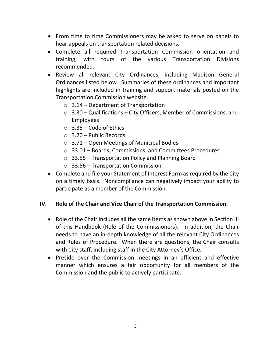- From time to time Commissioners may be asked to serve on panels to hear appeals on transportation related decisions.
- Complete all required Transportation Commission orientation and training, with tours of the various Transportation Divisions recommended.
- Review all relevant City Ordinances, including Madison General Ordinances listed below. Summaries of these ordinances and important highlights are included in training and support materials posted on the Transportation Commission website*.*
	- $\circ$  3.14 Department of Transportation
	- $\circ$  3.30 Qualifications City Officers, Member of Commissions, and Employees
	- $\circ$  3.35 Code of Ethics
	- $\circ$  3.70 Public Records
	- $\circ$  3.71 Open Meetings of Municipal Bodies
	- o 33.01 Boards, Commissions, and Committees Procedures
	- $\circ$  33.55 Transportation Policy and Planning Board
	- o 33.56 Transportation Commission
- Complete and file your Statement of Interest Form as required by the City on a timely basis. Noncompliance can negatively impact your ability to participate as a member of the Commission.

#### **IV. Role of the Chair and Vice Chair of the Transportation Commission.**

- Role of the Chair includes all the same items as shown above in Section III of this Handbook (Role of the Commissioners). In addition, the Chair needs to have an in-depth knowledge of all the relevant City Ordinances and Rules of Procedure. When there are questions, the Chair consults with City staff, including staff in the City Attorney's Office.
- Preside over the Commission meetings in an efficient and effective manner which ensures a fair opportunity for all members of the Commission and the public to actively participate.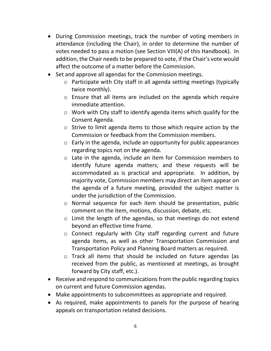- During Commission meetings, track the number of voting members in attendance (including the Chair), in order to determine the number of votes needed to pass a motion (see Section VIII(A) of this Handbook). In addition, the Chair needs to be prepared to vote, if the Chair's vote would affect the outcome of a matter before the Commission.
- Set and approve all agendas for the Commission meetings.
	- o Participate with City staff in all agenda setting meetings (typically twice monthly).
	- o Ensure that all items are included on the agenda which require immediate attention.
	- o Work with City staff to identify agenda items which qualify for the Consent Agenda.
	- o Strive to limit agenda items to those which require action by the Commission or feedback from the Commission members.
	- o Early in the agenda, include an opportunity for public appearances regarding topics not on the agenda.
	- o Late in the agenda, include an item for Commission members to identify future agenda matters; and these requests will be accommodated as is practical and appropriate. In addition, by majority vote, Commission members may direct an item appear on the agenda of a future meeting, provided the subject matter is under the jurisdiction of the Commission.
	- o Normal sequence for each item should be presentation, public comment on the item, motions, discussion, debate, etc.
	- o Limit the length of the agendas, so that meetings do not extend beyond an effective time frame.
	- o Connect regularly with City staff regarding current and future agenda items, as well as other Transportation Commission and Transportation Policy and Planning Board matters as required.
	- o Track all items that should be included on future agendas (as received from the public, as mentioned at meetings, as brought forward by City staff, etc.).
- Receive and respond to communications from the public regarding topics on current and future Commission agendas.
- Make appointments to subcommittees as appropriate and required.
- As required, make appointments to panels for the purpose of hearing appeals on transportation related decisions.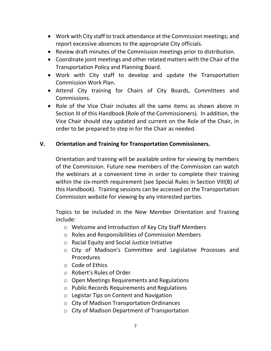- Work with City staff to track attendance at the Commission meetings; and report excessive absences to the appropriate City officials.
- Review draft minutes of the Commission meetings prior to distribution.
- Coordinate joint meetings and other related matters with the Chair of the Transportation Policy and Planning Board.
- Work with City staff to develop and update the Transportation Commission Work Plan.
- Attend City training for Chairs of City Boards, Committees and Commissions.
- Role of the Vice Chair includes all the same items as shown above in Section III of this Handbook (Role of the Commissioners). In addition, the Vice Chair should stay updated and current on the Role of the Chair, in order to be prepared to step in for the Chair as needed.

### **V. Orientation and Training for Transportation Commissioners.**

Orientation and training will be available online for viewing by members of the Commission. Future new members of the Commission can watch the webinars at a convenient time in order to complete their training within the six-month requirement (see Special Rules in Section VIII(B) of this Handbook). Training sessions can be accessed on the Transportation Commission website for viewing by any interested parties.

Topics to be included in the New Member Orientation and Training include:

- o Welcome and Introduction of Key City Staff Members
- o Roles and Responsibilities of Commission Members
- o Racial Equity and Social Justice Initiative
- o City of Madison's Committee and Legislative Processes and Procedures
- o Code of Ethics
- o Robert's Rules of Order
- o Open Meetings Requirements and Regulations
- o Public Records Requirements and Regulations
- o Legistar Tips on Content and Navigation
- o City of Madison Transportation Ordinances
- o City of Madison Department of Transportation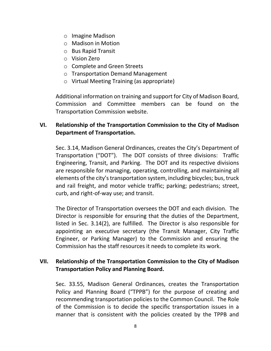- o Imagine Madison
- o Madison in Motion
- o Bus Rapid Transit
- o Vision Zero
- o Complete and Green Streets
- o Transportation Demand Management
- o Virtual Meeting Training (as appropriate)

Additional information on training and support for City of Madison Board, Commission and Committee members can be found on the Transportation Commission website.

## **VI. Relationship of the Transportation Commission to the City of Madison Department of Transportation.**

Sec. 3.14, Madison General Ordinances, creates the City's Department of Transportation ("DOT"). The DOT consists of three divisions: Traffic Engineering, Transit, and Parking. The DOT and its respective divisions are responsible for managing, operating, controlling, and maintaining all elements of the city's transportation system, including bicycles; bus, truck and rail freight, and motor vehicle traffic; parking; pedestrians; street, curb, and right-of-way use; and transit.

The Director of Transportation oversees the DOT and each division. The Director is responsible for ensuring that the duties of the Department, listed in Sec. 3.14(2), are fulfilled. The Director is also responsible for appointing an executive secretary (the Transit Manager, City Traffic Engineer, or Parking Manager) to the Commission and ensuring the Commission has the staff resources it needs to complete its work.

## **VII. Relationship of the Transportation Commission to the City of Madison Transportation Policy and Planning Board.**

Sec. 33.55, Madison General Ordinances, creates the Transportation Policy and Planning Board ("TPPB") for the purpose of creating and recommending transportation policies to the Common Council. The Role of the Commission is to decide the specific transportation issues in a manner that is consistent with the policies created by the TPPB and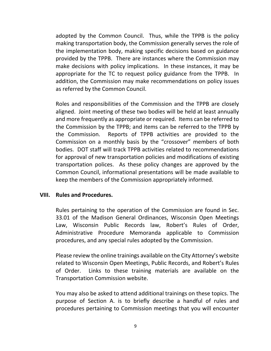adopted by the Common Council. Thus, while the TPPB is the policy making transportation body, the Commission generally serves the role of the implementation body, making specific decisions based on guidance provided by the TPPB. There are instances where the Commission may make decisions with policy implications. In these instances, it may be appropriate for the TC to request policy guidance from the TPPB. In addition, the Commission may make recommendations on policy issues as referred by the Common Council.

Roles and responsibilities of the Commission and the TPPB are closely aligned. Joint meeting of these two bodies will be held at least annually and more frequently as appropriate or required. Items can be referred to the Commission by the TPPB; and items can be referred to the TPPB by the Commission. Reports of TPPB activities are provided to the Commission on a monthly basis by the "crossover" members of both bodies. DOT staff will track TPPB activities related to recommendations for approval of new transportation policies and modifications of existing transportation polices. As these policy changes are approved by the Common Council, informational presentations will be made available to keep the members of the Commission appropriately informed.

#### **VIII. Rules and Procedures.**

Rules pertaining to the operation of the Commission are found in Sec. 33.01 of the Madison General Ordinances, Wisconsin Open Meetings Law, Wisconsin Public Records law, Robert's Rules of Order, Administrative Procedure Memoranda applicable to Commission procedures, and any special rules adopted by the Commission.

Please review the online trainings available on the City Attorney's website related to Wisconsin Open Meetings, Public Records, and Robert's Rules of Order. Links to these training materials are available on the Transportation Commission website.

You may also be asked to attend additional trainings on these topics. The purpose of Section A. is to briefly describe a handful of rules and procedures pertaining to Commission meetings that you will encounter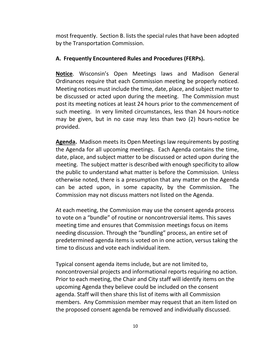most frequently. Section B. lists the special rules that have been adopted by the Transportation Commission.

#### **A. Frequently Encountered Rules and Procedures (FERPs).**

**Notice**. Wisconsin's Open Meetings laws and Madison General Ordinances require that each Commission meeting be properly noticed. Meeting notices must include the time, date, place, and subject matter to be discussed or acted upon during the meeting. The Commission must post its meeting notices at least 24 hours prior to the commencement of such meeting. In very limited circumstances, less than 24 hours-notice may be given, but in no case may less than two (2) hours-notice be provided.

**Agenda.** Madison meets its Open Meetings law requirements by posting the Agenda for all upcoming meetings. Each Agenda contains the time, date, place, and subject matter to be discussed or acted upon during the meeting. The subject matter is described with enough specificity to allow the public to understand what matter is before the Commission. Unless otherwise noted, there is a presumption that any matter on the Agenda can be acted upon, in some capacity, by the Commission. The Commission may not discuss matters not listed on the Agenda.

At each meeting, the Commission may use the consent agenda process to vote on a "bundle" of routine or noncontroversial items. This saves meeting time and ensures that Commission meetings focus on items needing discussion. Through the "bundling" process, an entire set of predetermined agenda items is voted on in one action, versus taking the time to discuss and vote each individual item.

Typical consent agenda items include, but are not limited to, noncontroversial projects and informational reports requiring no action. Prior to each meeting, the Chair and City staff will identify items on the upcoming Agenda they believe could be included on the consent agenda. Staff will then share this list of items with all Commission members. Any Commission member may request that an item listed on the proposed consent agenda be removed and individually discussed.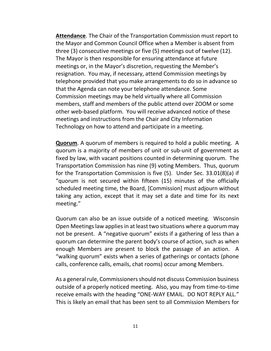**Attendance**. The Chair of the Transportation Commission must report to the Mayor and Common Council Office when a Member is absent from three (3) consecutive meetings or five (5) meetings out of twelve (12). The Mayor is then responsible for ensuring attendance at future meetings or, in the Mayor's discretion, requesting the Member's resignation. You may, if necessary, attend Commission meetings by telephone provided that you make arrangements to do so in advance so that the Agenda can note your telephone attendance. Some Commission meetings may be held virtually where all Commission members, staff and members of the public attend over ZOOM or some other web-based platform. You will receive advanced notice of these meetings and instructions from the Chair and City Information Technology on how to attend and participate in a meeting.

**Quorum**. A quorum of members is required to hold a public meeting. A quorum is a majority of members of unit or sub-unit of government as fixed by law, with vacant positions counted in determining quorum. The Transportation Commission has nine (9) voting Members. Thus, quorum for the Transportation Commission is five (5). Under Sec. 33.01(8)(a) if "quorum is not secured within fifteen (15) minutes of the officially scheduled meeting time, the Board, [Commission] must adjourn without taking any action, except that it may set a date and time for its next meeting."

Quorum can also be an issue outside of a noticed meeting. Wisconsin Open Meetings law applies in at least two situations where a quorum may not be present. A "negative quorum" exists if a gathering of less than a quorum can determine the parent body's course of action, such as when enough Members are present to block the passage of an action. A "walking quorum" exists when a series of gatherings or contacts (phone calls, conference calls, emails, chat rooms) occur among Members.

As a general rule, Commissioners should not discuss Commission business outside of a properly noticed meeting. Also, you may from time-to-time receive emails with the heading "ONE-WAY EMAIL. DO NOT REPLY ALL." This is likely an email that has been sent to all Commission Members for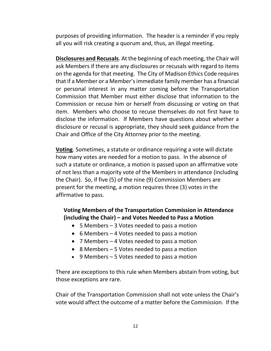purposes of providing information. The header is a reminder if you reply all you will risk creating a quorum and, thus, an illegal meeting.

**Disclosures and Recusals**. At the beginning of each meeting, the Chair will ask Members if there are any disclosures or recusals with regard to items on the agenda for that meeting. The City of Madison Ethics Code requires that if a Member or a Member's immediate family member has a financial or personal interest in any matter coming before the Transportation Commission that Member must either disclose that information to the Commission or recuse him or herself from discussing or voting on that item. Members who choose to recuse themselves do not first have to disclose the information. If Members have questions about whether a disclosure or recusal is appropriate, they should seek guidance from the Chair and Office of the City Attorney prior to the meeting.

**Voting**. Sometimes, a statute or ordinance requiring a vote will dictate how many votes are needed for a motion to pass. In the absence of such a statute or ordinance, a motion is passed upon an affirmative vote of not less than a majority vote of the Members in attendance (including the Chair). So, if five (5) of the nine (9) Commission Members are present for the meeting, a motion requires three (3) votes in the affirmative to pass.

## **Voting Members of the Transportation Commission in Attendance (including the Chair) – and Votes Needed to Pass a Motion**

- 5 Members 3 Votes needed to pass a motion
- 6 Members 4 Votes needed to pass a motion
- 7 Members 4 Votes needed to pass a motion
- 8 Members 5 Votes needed to pass a motion
- 9 Members 5 Votes needed to pass a motion

There are exceptions to this rule when Members abstain from voting, but those exceptions are rare.

Chair of the Transportation Commission shall not vote unless the Chair's vote would affect the outcome of a matter before the Commission. If the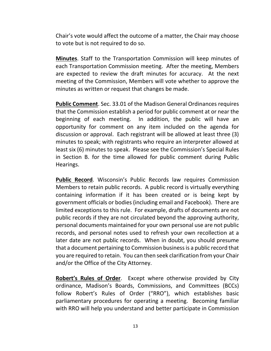Chair's vote would affect the outcome of a matter, the Chair may choose to vote but is not required to do so.

**Minutes**. Staff to the Transportation Commission will keep minutes of each Transportation Commission meeting. After the meeting, Members are expected to review the draft minutes for accuracy. At the next meeting of the Commission, Members will vote whether to approve the minutes as written or request that changes be made.

**Public Comment**. Sec. 33.01 of the Madison General Ordinances requires that the Commission establish a period for public comment at or near the beginning of each meeting. In addition, the public will have an opportunity for comment on any item included on the agenda for discussion or approval. Each registrant will be allowed at least three (3) minutes to speak; with registrants who require an interpreter allowed at least six (6) minutes to speak. Please see the Commission's Special Rules in Section B. for the time allowed for public comment during Public Hearings.

**Public Record**. Wisconsin's Public Records law requires Commission Members to retain public records. A public record is virtually everything containing information if it has been created or is being kept by government officials or bodies (including email and Facebook). There are limited exceptions to this rule. For example, drafts of documents are not public records if they are not circulated beyond the approving authority, personal documents maintained for your own personal use are not public records, and personal notes used to refresh your own recollection at a later date are not public records. When in doubt, you should presume that a document pertaining to Commission business is a public record that you are required to retain. You can then seek clarification from your Chair and/or the Office of the City Attorney.

**Robert's Rules of Order**. Except where otherwise provided by City ordinance, Madison's Boards, Commissions, and Committees (BCCs) follow Robert's Rules of Order ("RRO"), which establishes basic parliamentary procedures for operating a meeting. Becoming familiar with RRO will help you understand and better participate in Commission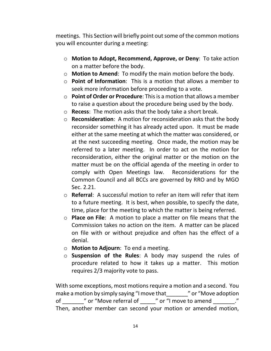meetings. This Section will briefly point out some of the common motions you will encounter during a meeting:

- o **Motion to Adopt, Recommend, Approve, or Deny**: To take action on a matter before the body.
- o **Motion to Amend**: To modify the main motion before the body.
- o **Point of Information**: This is a motion that allows a member to seek more information before proceeding to a vote.
- o **Point of Order or Procedure**: This is a motion that allows a member to raise a question about the procedure being used by the body.
- o **Recess**: The motion asks that the body take a short break.
- o **Reconsideration**: A motion for reconsideration asks that the body reconsider something it has already acted upon. It must be made either at the same meeting at which the matter was considered, or at the next succeeding meeting. Once made, the motion may be referred to a later meeting. In order to act on the motion for reconsideration, either the original matter or the motion on the matter must be on the official agenda of the meeting in order to comply with Open Meetings law. Reconsiderations for the Common Council and all BCCs are governed by RRO and by MGO Sec. 2.21.
- o **Referral**: A successful motion to refer an item will refer that item to a future meeting. It is best, when possible, to specify the date, time, place for the meeting to which the matter is being referred.
- o **Place on File**: A motion to place a matter on file means that the Commission takes no action on the item. A matter can be placed on file with or without prejudice and often has the effect of a denial.
- o **Motion to Adjourn**: To end a meeting.
- o **Suspension of the Rules**: A body may suspend the rules of procedure related to how it takes up a matter. This motion requires 2/3 majority vote to pass.

With some exceptions, most motionsrequire a motion and a second. You make a motion by simply saying "I move that \_\_\_\_\_\_\_\_" or "Move adoption of \_\_\_\_\_\_\_\_" or "Move referral of \_\_\_\_\_\_" or "I move to amend \_\_\_\_\_\_\_\_." Then, another member can second your motion or amended motion,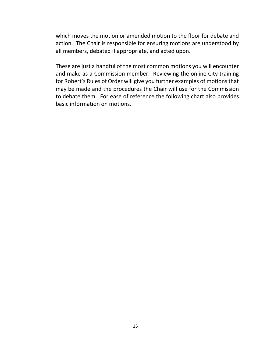which moves the motion or amended motion to the floor for debate and action. The Chair is responsible for ensuring motions are understood by all members, debated if appropriate, and acted upon.

These are just a handful of the most common motions you will encounter and make as a Commission member. Reviewing the online City training for Robert's Rules of Order will give you further examples of motions that may be made and the procedures the Chair will use for the Commission to debate them. For ease of reference the following chart also provides basic information on motions.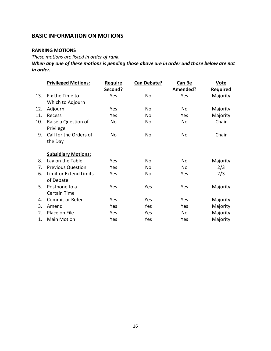#### **BASIC INFORMATION ON MOTIONS**

#### **RANKING MOTIONS**

*These motions are listed in order of rank.* 

*When any one of these motions is pending those above are in order and those below are not in order.*

|     | <b>Privileged Motions:</b>       | <b>Require</b><br>Second? | Can Debate? | <b>Can Be</b><br>Amended? | <u>Vote</u><br><b>Required</b> |
|-----|----------------------------------|---------------------------|-------------|---------------------------|--------------------------------|
| 13. | Fix the Time to                  | Yes                       | No          | Yes                       | Majority                       |
|     | Which to Adjourn                 |                           |             |                           |                                |
| 12. | Adjourn                          | Yes                       | No          | No                        | Majority                       |
| 11. | Recess                           | Yes                       | No          | Yes                       | Majority                       |
| 10. | Raise a Question of<br>Privilege | No                        | No          | No                        | Chair                          |
| 9.  | Call for the Orders of           | No                        | No          | No                        | Chair                          |
|     | the Day                          |                           |             |                           |                                |
|     | <b>Subsidiary Motions:</b>       |                           |             |                           |                                |
| 8.  | Lay on the Table                 | Yes                       | No          | No                        | Majority                       |
| 7.  | <b>Previous Question</b>         | Yes                       | No          | No                        | 2/3                            |
| 6.  | Limit or Extend Limits           | Yes                       | No          | Yes                       | 2/3                            |
|     | of Debate                        |                           |             |                           |                                |
| 5.  | Postpone to a                    | Yes                       | Yes         | Yes                       | Majority                       |
|     | <b>Certain Time</b>              |                           |             |                           |                                |
| 4.  | <b>Commit or Refer</b>           | Yes                       | Yes         | Yes                       | Majority                       |
| 3.  | Amend                            | Yes                       | Yes         | Yes                       | Majority                       |
| 2.  | Place on File                    | Yes                       | Yes         | No                        | Majority                       |
| 1.  | <b>Main Motion</b>               | Yes                       | Yes         | Yes                       | Majority                       |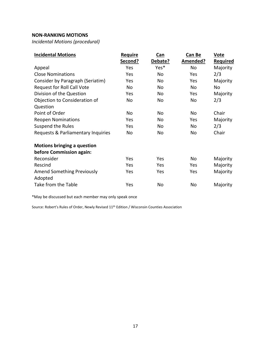#### **NON-RANKING MOTIONS**

*Incidental Motions (procedural)*

| <b>Incidental Motions</b>                    | <b>Require</b><br>Second? | <u>Can</u><br>Debate? | Can Be<br>Amended? | <b>Vote</b><br><b>Required</b> |
|----------------------------------------------|---------------------------|-----------------------|--------------------|--------------------------------|
| Appeal                                       | Yes                       | Yes*                  | No                 | Majority                       |
| <b>Close Nominations</b>                     | Yes                       | No                    | Yes                | 2/3                            |
| Consider by Paragraph (Seriatim)             | Yes                       | No                    | Yes                | Majority                       |
| Request for Roll Call Vote                   | <b>No</b>                 | No                    | No                 | No                             |
| Division of the Question                     | Yes                       | No                    | Yes                | Majority                       |
| Objection to Consideration of                | No                        | No                    | No                 | 2/3                            |
| Question                                     |                           |                       |                    |                                |
| Point of Order                               | No                        | No                    | No                 | Chair                          |
| <b>Reopen Nominations</b>                    | Yes                       | No                    | Yes                | Majority                       |
| Suspend the Rules                            | Yes                       | No                    | No                 | 2/3                            |
| Requests & Parliamentary Inquiries           | <b>No</b>                 | No                    | No                 | Chair                          |
| <b>Motions bringing a question</b>           |                           |                       |                    |                                |
| before Commission again:                     |                           |                       |                    |                                |
| Reconsider                                   | Yes                       | Yes                   | No                 | Majority                       |
| Rescind                                      | Yes                       | Yes                   | Yes                | Majority                       |
| <b>Amend Something Previously</b><br>Adopted | Yes                       | Yes                   | Yes                | Majority                       |
| Take from the Table                          | Yes                       | No                    | No                 | Majority                       |

\*May be discussed but each member may only speak once

Source: Robert's Rules of Order, Newly Revised 11th Edition / Wisconsin Counties Association